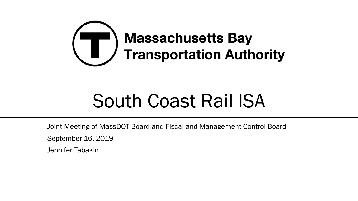

# South Coast Rail ISA

Joint Meeting of MassDOT Board and Fiscal and Management Control Board

September 16, 2019

Jennifer Tabakin

1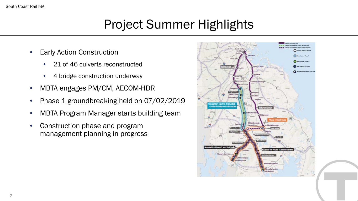## Project Summer Highlights

- **Early Action Construction** 
	- 21 of 46 culverts reconstructed
	- 4 bridge construction underway
- MBTA engages PM/CM, AECOM-HDR
- Phase 1 groundbreaking held on 07/02/2019
- MBTA Program Manager starts building team
- Construction phase and program management planning in progress

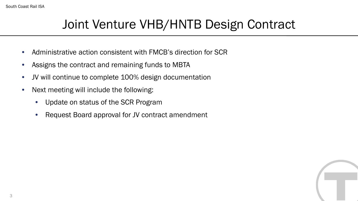### Joint Venture VHB/HNTB Design Contract

- Administrative action consistent with FMCB's direction for SCR
- Assigns the contract and remaining funds to MBTA
- JV will continue to complete 100% design documentation
- Next meeting will include the following:
	- Update on status of the SCR Program
	- Request Board approval for JV contract amendment